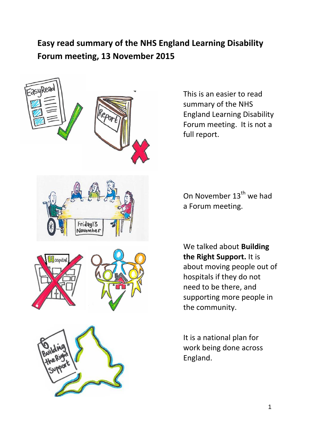## **Easy read summary of the NHS England Learning Disability Forum meeting, 13 November 2015**



This is an easier to read summary of the NHS England Learning Disability Forum meeting. It is not a full report.

On November 13<sup>th</sup> we had a Forum meeting.

We talked about **Building the Right Support.** It is about moving people out of hospitals if they do not need to be there, and supporting more people in the community.

It is a national plan for work being done across England.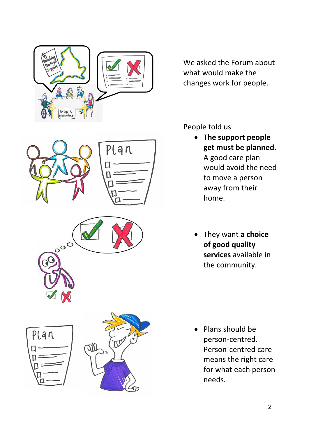



People told us

- T**he support people get must be planned**. A good care plan would avoid the need to move a person away from their home.
- They want **a choice of good quality services** available in the community.

• Plans should be person-centred. Person-centred care means the right care for what each person needs.







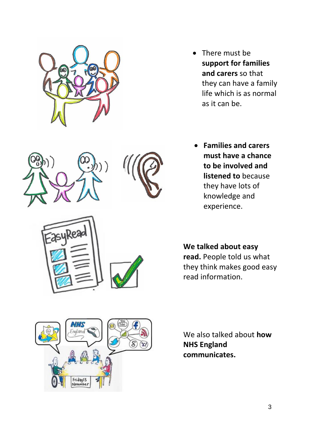

**ZasyRead** 

- There must be **support for families and carers** so that they can have a family life which is as normal as it can be.
- **Families and carers must have a chance to be involved and listened to** because they have lots of knowledge and experience.

**We talked about easy read.** People told us what they think makes good easy read information.



We also talked about **how NHS England communicates.**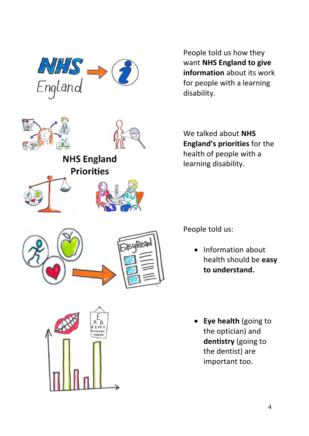



EasyRea

**NHS England Priorities** 



People told us how they want **NHS England to give information** about its work for people with a learning disability.

We talked about **NHS England's priorities** for the health of people with a learning disability.

People told us:

- Information about health should be **easy to understand.**
- **Eye health** (going to the optician) and **dentistry** (going to the dentist) are important too.

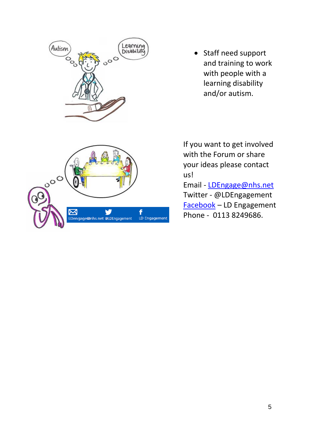

• Staff need support and training to work with people with a learning disability and/or autism.

If you want to get involved with the Forum or share your ideas please contact us!

Email - [LDEngage@nhs.net](mailto:LDEngage@nhs.net) Twitter - @LDEngagement [Facebook](https://www.facebook.com/ld.engagement) – LD Engagement Phone - 0113 8249686.